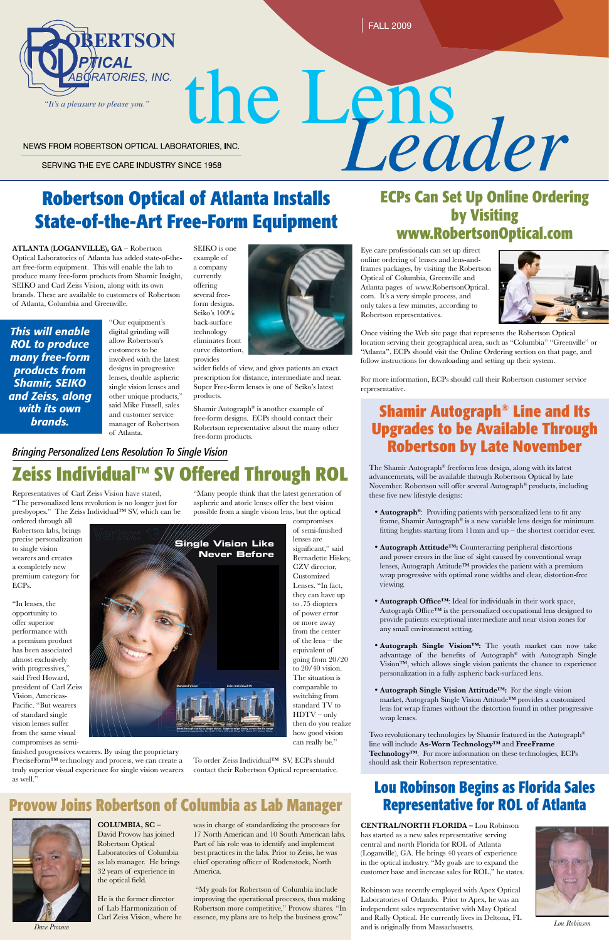

# **Robertson Optical of Atlanta Installs State-of-the-Art Free-Form Equipment**



the Lens<br>Eader NEWS FROM ROBERTSON OPTICAL LABORATORIES, INC.

SERVING THE EYE CARE INDUSTRY SINCE 1958

# **ECPs Can Set Up Online Ordering by Visiting www.RobertsonOptical.com**

# **Zeiss Individual™ SV Offered Through ROL**

Representatives of Carl Zeiss Vision have stated, "The personalized lens revolution is no longer just for presbyopes." The Zeiss Individual™ SV, which can be

ordered through all Robertson labs, brings precise personalization to single vision wearers and creates a completely new premium category for ECPs.

PreciseForm™ technology and process, we can create a truly superior visual experience for single vision wearers as well."

"In lenses, the opportunity to offer superior performance with a premium product has been associated almost exclusively with progressives,' said Fred Howard, president of Carl Zeiss Vision, Americas-Pacific. "But wearers of standard single vision lenses suffer from the same visual compromises as semi-

**ATLANTA (LOGANVILLE), GA** – Robertson Optical Laboratories of Atlanta has added state-of-theart free-form equipment. This will enable the lab to produce many free-form products from Shamir Insight, SEIKO and Carl Zeiss Vision, along with its own brands. These are available to customers of Robertson of Atlanta, Columbia and Greenville.

> "Our equipment's digital grinding will allow Robertson's customers to be involved with the latest designs in progressive lenses, double aspheric single vision lenses and other unique products," said Mike Fussell, sales and customer service manager of Robertson of Atlanta.

SEIKO is one example of a company currently offering several freeform designs. Seiko's 100% back-surface technology eliminates front curve distortion,

provides



wider fields of view, and gives patients an exact prescription for distance, intermediate and near. Super Free-form lenses is one of Seiko's latest products.

Shamir Autograph® is another example of free-form designs. ECPs should contact their Robertson representative about the many other free-form products.

Eye care professionals can set up direct online ordering of lenses and lens-andframes packages, by visiting the Robertson Optical of Columbia, Greenville and Atlanta pages of www.RobertsonOptical. com. It's a very simple process, and only takes a few minutes, according to Robertson representatives.



Once visiting the Web site page that represents the Robertson Optical location serving their geographical area, such as "Columbia" "Greenville" or "Atlanta", ECPs should visit the Online Ordering section on that page, and follow instructions for downloading and setting up their system.

For more information, ECPs should call their Robertson customer service representative.

**CENTRAL/NORTH FLORIDA –** Lou Robinson has started as a new sales representative serving central and north Florida for ROL of Atlanta (Loganville), GA. He brings 40 years of experience in the optical industry. "My goals are to expand the customer base and increase sales for ROL," he states.

### *Bringing Personalized Lens Resolution To Single Vision*

# **Lou Robinson Begins as Florida Sales Representative for ROL of Atlanta**

The Shamir Autograph® freeform lens design, along with its latest advancements, will be available through Robertson Optical by late November. Robertson will offer several Autograph® products, including these five new lifestyle designs:

- **Autograph®**: Providing patients with personalized lens to fit any frame, Shamir Autograph® is a new variable lens design for minimum fitting heights starting from 11mm and up – the shortest corridor ever.
- • **Autograph Attitude™:** Counteracting peripheral distortions and power errors in the line of sight caused by conventional wrap lenses, Autograph Attitude™ provides the patient with a premium wrap progressive with optimal zone widths and clear, distortion-free viewing.
- **Autograph Office<sup>TM</sup>**: Ideal for individuals in their work space, Autograph Office™ is the personalized occupational lens designed to provide patients exceptional intermediate and near vision zones for any small environment setting.
- • **Autograph Single Vision™:** The youth market can now take advantage of the benefits of Autograph® with Autograph Single Vision™, which allows single vision patients the chance to experience personalization in a fully aspheric back-surfaced lens.
- Autograph Single Vision Attitude<sup>™:</sup> For the single vision

finished progressives wearers. By using the proprietary

**Standard Vision Zeiss Individual SV Single Vision Like Never Before 10.5° 10.5°** VERTEX 13.5 mm

> market, Autograph Single Vision Attitude™ provides a customized lens for wrap frames without the distortion found in other progressive wrap lenses.

Two revolutionary technologies by Shamir featured in the Autograph® line will include **As-Worn Technology™** and **FreeFrame Technology™**. For more information on these technologies, ECPs should ask their Robertson representative.

## **Shamir Autograph® Line and Its Upgrades to be Available Through Robertson by Late November**

"Many people think that the latest generation of aspheric and atoric lenses offer the best vision possible from a single vision lens, but the optical

Robinson was recently employed with Apex Optical Laboratories of Orlando. Prior to Apex, he was an independent sales representative with May Optical and Rally Optical. He currently lives in Deltona, FL and is originally from Massachusetts. *Dave Provow Lou Robinson*



compromises of semi-finished lenses are significant," said Bernadette Hiskey, CZV director, Customized Lenses. "In fact, they can have up to .75 diopters of power error or more away from the center of the lens – the equivalent of going from 20/20 to 20/40 vision. The situation is comparable to switching from standard TV to

HDTV – only then do you realize how good vision can really be."

To order Zeiss Individual™ SV, ECPs should contact their Robertson Optical representative.

**Provow Joins Robertson of Columbia as Lab Manager**



**COLUMBIA, SC –** David Provow has joined Robertson Optical Laboratories of Columbia as lab manager. He brings 32 years of experience in the optical field.

He is the former director of Lab Harmonization of Carl Zeiss Vision, where he was in charge of standardizing the processes for 17 North American and 10 South American labs. Part of his role was to identify and implement best practices in the labs. Prior to Zeiss, he was chief operating officer of Rodenstock, North America.

 "My goals for Robertson of Columbia include improving the operational processes, thus making Robertson more competitive," Provow shares. "In essence, my plans are to help the business grow."

**Breakthrough clarity in single vision. Edge-to-edge clarity across the Rx range.**  Simulated comparison for Rx +3.00 -1.50 x 135 with Wrap 15º, Panto 15º, Vertex 13mm.

*This will enable ROL to produce many free-form products from Shamir, SEIKO and Zeiss, along with its own brands.*